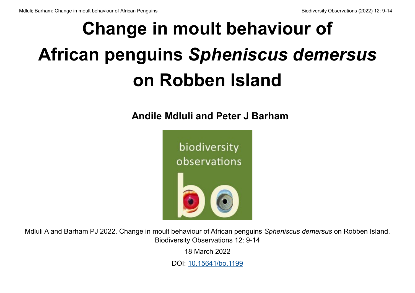# **Change in moult behaviour of African penguins** *Spheniscus demersus*  **on Robben Island**

**Andile Mdluli and Peter J Barham**



Mdluli A and Barham PJ 2022. Change in moult behaviour of African penguins *Spheniscus demersus* on Robben Island. Biodiversity Observations 12: 9-14

18 March 2022

DOI: [10.15641/bo.1199](https://10.15641/bo.1199)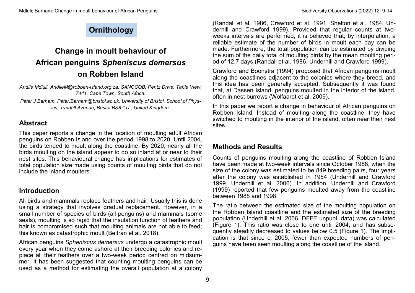## **Ornithology**

## **Change in moult behaviour of African penguins** *Spheniscus demersus*  **on Robben Island**

*Andile Mdluli, AndileM@robben-island.org.za, SANCCOB, Pentz Drive, Table View, 7441, Cape Town, South Africa.*

*Peter J Barham, Peter.Barham@bristol.ac.uk, University of Bristol, School of Physics, Tyndall Avenue, Bristol BS8 1TL, United Kingdom.*

#### **Abstract**

This paper reports a change in the location of moulting adult African penguins on Robben Island over the period 1998 to 2020. Until 2004, the birds tended to moult along the coastline. By 2020, nearly all the birds moulting on the island appear to do so inland at or near to their nest sites. This behavioural change has implications for estimates of total population size made using counts of moulting birds that do not include the inland moulters.

#### **Introduction**

All birds and mammals replace feathers and hair. Usually this is done using a strategy that involves gradual replacement. However, in a small number of species of birds (all penguins) and mammals (some seals), moulting is so rapid that the insulation function of feathers and hair is compromised such that moulting animals are not able to feed; this known as catastrophic moult (Beltran et al. 2018).

African penguins *Spheniscus demersus* undergo a catastrophic moult every year when they come ashore at their breeding colonies and replace all their feathers over a two-week period centred on midsummer. It has been suggested that counting moulting penguins can be used as a method for estimating the overall population at a colony

(Randall et al. 1986, Crawford et al. 1991, Shelton et al. 1984, Underhill and Crawford 1999). Provided that regular counts at twoweeks intervals are performed, it is believed that, by interpolation, a reliable estimate of the number of birds in moult each day can be made. Furthermore, the total population can be estimated by dividing the sum of the daily total of moulting birds by the mean moulting period of 12.7 days (Randall et al. 1986, Underhill and Crawford 1999).

Crawford and Boonstra (1994) proposed that African penguins moult along the coastlines adjacent to the colonies where they breed, and this idea has been generally accepted. Subsequently it was found that, at Dassen Island, penguins moulted in the interior of the island, often in nest burrows (Wolfaardt et al. 2009).

In this paper we report a change in behaviour of African penguins on Robben Island. Instead of moulting along the coastline, they have switched to moulting in the interior of the island, often near their nest sites.

#### **Methods and Results**

Counts of penguins moulting along the coastline of Robben Island have been made at two-week intervals since October 1988, when the size of the colony was estimated to be 849 breeding pairs, four years after the colony was established in 1984 (Underhill and Crawford 1999, Underhill et al. 2006). In addition, Underhill and Crawford (1999) reported that few penguins moulted away from the coastline between 1988 and 1998.

The ratio between the estimated size of the moulting population on the Robben Island coastline and the estimated size of the breeding population (Underhill et al. 2006, DFFE unpubl. data) was calculated (Figure 1). This ratio was close to one until 2004, and has subsequently steadily decreased to values below 0.5 (Figure 1). The implication is that since c. 2005, fewer than expected numbers of penguins have been seen moulting along the coastline of the island.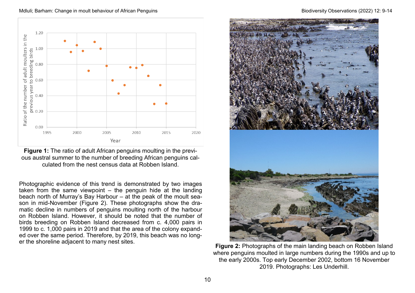Mdluli: Barham: Change in moult behaviour of African Penguins Biodiversity Observations (2022) 12: 9-14





Photographic evidence of this trend is demonstrated by two images taken from the same viewpoint – the penguin hide at the landing beach north of Murray's Bay Harbour – at the peak of the moult season in mid-November (Figure 2). These photographs show the dramatic decline in numbers of penguins moulting north of the harbour on Robben Island. However, it should be noted that the number of birds breeding on Robben Island decreased from c. 4,000 pairs in 1999 to c. 1,000 pairs in 2019 and that the area of the colony expanded over the same period. Therefore, by 2019, this beach was no longer the shoreline adjacent to many nest sites.



**Figure 2:** Photographs of the main landing beach on Robben Island where penguins moulted in large numbers during the 1990s and up to the early 2000s. Top early December 2002, bottom 16 November 2019. Photographs: Les Underhill.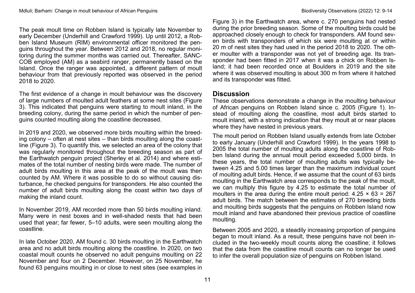The peak moult time on Robben Island is typically late November to early December (Underhill and Crawford 1999). Up until 2012, a Robben Island Museum (RIM) environmental officer monitored the penguins throughout the year. Between 2012 and 2018, no regular monitoring during the summer months was carried out. Thereafter, SANC-COB employed (AM) as a seabird ranger, permanently based on the Island. Once the ranger was appointed, a different pattern of moult behaviour from that previously reported was observed in the period 2018 to 2020.

The first evidence of a change in moult behaviour was the discovery of large numbers of moulted adult feathers at some nest sites (Figure 3). This indicated that penguins were starting to moult inland, in the breeding colony, during the same period in which the number of penguins counted moulting along the coastline decreased.

In 2019 and 2020, we observed more birds moulting within the breeding colony – often at nest sites – than birds moulting along the coastline (Figure 3). To quantify this, we selected an area of the colony that was regularly monitored throughout the breeding season as part of the Earthwatch penguin project (Sherley et al. 2014) and where estimates of the total number of nesting birds were made. The number of adult birds moulting in this area at the peak of the moult was then counted by AM. Where it was possible to do so without causing disturbance, he checked penguins for transponders. He also counted the number of adult birds moulting along the coast within two days of making the inland count.

In November 2019, AM recorded more than 50 birds moulting inland. Many were in nest boxes and in well-shaded nests that had been used that year; far fewer, 5–10 adults, were seen moulting along the coastline.

In late October 2020, AM found c. 30 birds moulting in the Earthwatch area and no adult birds moulting along the coastline. In 2020, on two coastal moult counts he observed no adult penguins moulting on 22 November and four on 2 December. However, on 25 November, he found 63 penguins moulting in or close to nest sites (see examples in

Figure 3) in the Earthwatch area, where c. 270 penguins had nested during the prior breeding season. Some of the moulting birds could be approached closely enough to check for transponders. AM found seven birds with transponders of which six were moulting at or within 20 m of nest sites they had used in the period 2018 to 2020. The other moulter with a transponder was not yet of breeding age. Its transponder had been fitted in 2017 when it was a chick on Robben Island; it had been recorded once at Boulders in 2019 and the site where it was observed moulting is about 300 m from where it hatched and its transponder was fitted.

#### **Discussion**

These observations demonstrate a change in the moulting behaviour of African penguins on Robben Island since c. 2005 (Figure 1). Instead of moulting along the coastline, most adult birds started to moult inland, with a strong indication that they moult at or near places where they have nested in previous years.

The moult period on Robben Island usually extends from late October to early January (Underhill and Crawford 1999). In the years 1998 to 2005 the total number of moulting adults along the coastline of Robben Island during the annual moult period exceeded 5,000 birds. In these years, the total number of moulting adults was typically between 4.25 and 5.00 times larger than the maximum individual count of moulting adult birds. Hence, if we assume that the count of 63 birds moulting in the Earthwatch area corresponds to the peak of the moult, we can multiply this figure by 4.25 to estimate the total number of moulters in the area during the entire moult period:  $4.25 \times 63 = 267$ adult birds. The match between the estimates of 270 breeding birds and moulting birds suggests that the penguins on Robben Island now moult inland and have abandoned their previous practice of coastline moulting.

Between 2005 and 2020, a steadily increasing proportion of penguins began to moult inland. As a result, these penguins have not been included in the two-weekly moult counts along the coastline; it follows that the data from the coastline moult counts can no longer be used to infer the overall population size of penguins on Robben Island.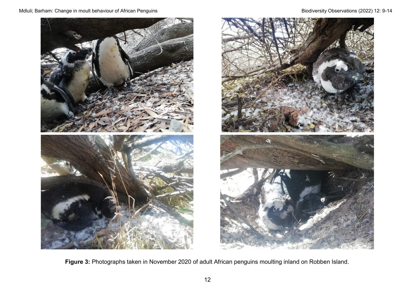Mdluli; Barham: Change in moult behaviour of African Penguins Biodiversity Observations (2022) 12: 9-14





**Figure 3:** Photographs taken in November 2020 of adult African penguins moulting inland on Robben Island.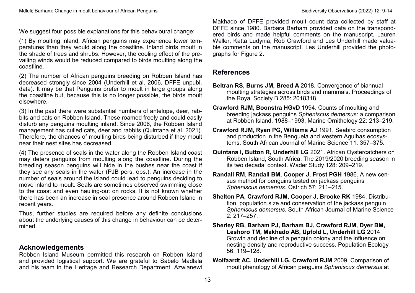We suggest four possible explanations for this behavioural change:

(1) By moulting inland, African penguins may experience lower temperatures than they would along the coastline. Inland birds moult in the shade of trees and shrubs. However, the cooling effect of the prevailing winds would be reduced compared to birds moulting along the coastline.

(2) The number of African penguins breeding on Robben Island has decreased strongly since 2004 (Underhill et al. 2006, DFFE unpubl. data). It may be that Penguins prefer to moult in large groups along the coastline but, because this is no longer possible, the birds moult elsewhere.

(3) In the past there were substantial numbers of antelope, deer, rabbits and cats on Robben Island. These roamed freely and could easily disturb any penguins moulting inland. Since 2006, the Robben Island management has culled cats, deer and rabbits (Quintana et al. 2021). Therefore, the chances of moulting birds being disturbed if they moult near their nest sites has decreased.

(4) The presence of seals in the water along the Robben Island coast may deters penguins from moulting along the coastline. During the breeding season penguins will hide in the bushes near the coast if they see any seals in the water (PJB pers. obs.). An increase in the number of seals around the island could lead to penguins deciding to move inland to moult. Seals are sometimes observed swimming close to the coast and even hauling-out on rocks. It is not known whether there has been an increase in seal presence around Robben Island in recent years.

Thus, further studies are required before any definite conclusions about the underlying causes of this change in behaviour can be determined.

#### **Acknowledgements**

Robben Island Museum permitted this research on Robben Island and provided logistical support. We are grateful to Sabelo Madlala and his team in the Heritage and Research Department. Azwianewi

Makhado of DFFE provided moult count data collected by staff at DFFE since 1980. Barbara Barham provided data on the transpondered birds and made helpful comments on the manuscript. Lauren Waller, Katta Ludynia, Rob Crawford and Les Underhill made valuable comments on the manuscript. Les Underhill provided the photographs for Figure 2.

#### **References**

- **Beltran RS, Burns JM, Breed A** 2018. Convergence of biannual moulting strategies across birds and mammals. Proceedings of the Royal Society B 285: 2018318.
- **Crawford RJM, Boonstra HGvD** 1994. Counts of moulting and breeding jackass penguins *Spheniscus demersus*: a comparison at Robben Island, 1988–1993. Marine Ornithology 22: 213–219.
- **Crawford RJM, Ryan PG, Williams AJ** 1991. Seabird consumption and production in the Benguela and western Agulhas ecosystems. South African Journal of Marine Science 11: 357–375.
- **Quintana I, Button R, Underhill LG** 2021. African Oystercatchers on Robben Island, South Africa: The 2019/2020 breeding season in its two decadal context. Wader Study 128: 209–219.
- **Randall RM, Randall BM, Cooper J, Frost PGH** 1986. A new census method for penguins tested on jackass penguins *Spheniscus demersus*. Ostrich 57: 211–215.
- **Shelton PA, Crawford RJM, Cooper J, Brooke RK** 1984. Distribution, population size and conservation of the jackass penguin *Spheniscus demersus*. South African Journal of Marine Science  $2: 217 - 257$
- **Sherley RB, Barham PJ, Barham BJ, Crawford RJM, Dyer BM, Leshoro TM, Makhado AB, Upfold L, Underhill LG** 2014. Growth and decline of a penguin colony and the influence on nesting density and reproductive success. Population Ecology 56: 119–128.
- **Wolfaardt AC, Underhill LG, Crawford RJM** 2009. Comparison of moult phenology of African penguins *Spheniscus demersus* at